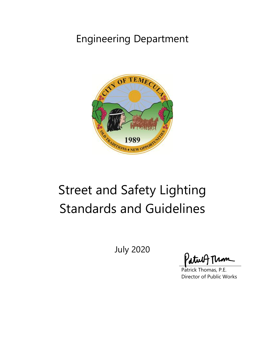## Engineering Department



# Street and Safety Lighting Standards and Guidelines

July 2020

'atu

Patrick Thomas, P.E. Director of Public Works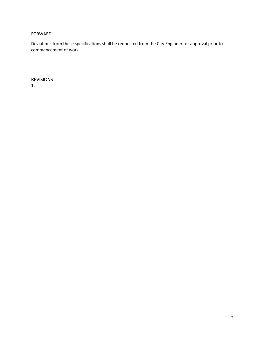#### FORWARD

Deviations from these specifications shall be requested from the City Engineer for approval prior to commencement of work.

### REVISIONS

1.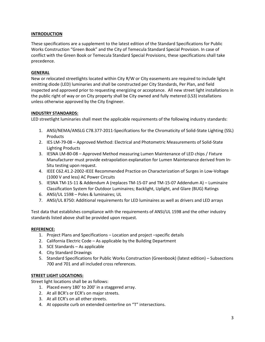#### **INTRODUCTION**

These specifications are a supplement to the latest edition of the Standard Specifications for Public Works Construction "Green Book" and the City of Temecula Standard Special Provision. In case of conflict with the Green Book or Temecula Standard Special Provisions, these specifications shall take precedence.

#### **GENERAL**

New or relocated streetlights located within City R/W or City easements are required to include light emitting diode (LED) luminaries and shall be constructed per City Standards, Per Plan, and field inspected and approved prior to requesting energizing or acceptance. All new street light installations in the public right of way or on City property shall be City owned and fully metered (LS3) installations unless otherwise approved by the City Engineer.

#### **INDUSTRY STANDARDS:**

LED streetlight luminaries shall meet the applicable requirements of the following industry standards:

- 1. ANSI/NEMA/ANSLG C78.377-2011-Specifcations for the Chromaticity of Solid-State Lighting (SSL) Products
- 2. IES LM-79-08 Approved Method: Electrical and Photometric Measurements of Solid-State Lighting Products
- 3. IESNA LM-80-08 Approved Method measuring Lumen Maintenance of LED chips / Fixture Manufacturer must provide extrapolation explanation for Lumen Maintenance derived from In-Situ testing upon request.
- 4. IEEE C62.41.2-2002-IEEE Recommended Practice on Characterization of Surges in Low-Voltage (1000 V and less) AC Power Circuits
- 5. IESNA TM-15-11 & Addendum A (replaces TM-15-07 and TM-15-07 Addendum A) Luminaire Classification System for Outdoor Luminaires; Backlight, Uplight, and Glare (BUG) Ratings
- 6. ANSI/UL 1598 Poles & luminaires; UL
- 7. ANSI/UL 8750: Additional requirements for LED luminaires as well as drivers and LED arrays

Test data that establishes compliance with the requirements of ANSI/UL 1598 and the other industry standards listed above shall be provided upon request.

#### **REFERENCE:**

- 1. Project Plans and Specifications Location and project –specific details
- 2. California Electric Code As applicable by the Building Department
- 3. SCE Standards As applicable
- 4. City Standard Drawings
- 5. Standard Specifications for Public Works Construction (Greenbook) (latest edition) Subsections 700 and 701 and all included cross references.

#### **STREET LIGHT LOCATIONS:**

Street light locations shall be as follows:

- 1. Placed every 180' to 200' in a staggered array.
- 2. At all BCR's or ECR's on major streets.
- 3. At all ECR's on all other streets.
- 4. At opposite curb on extended centerline on "T" intersections.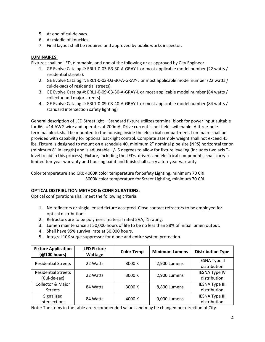- 5. At end of cul-de-sacs.
- 6. At middle of knuckles.
- 7. Final layout shall be required and approved by public works inspector.

#### **LUMINAIRES:**

Fixtures shall be LED, dimmable, and one of the following or as approved by City Engineer:

- 1. GE Evolve Catalog #: ERL1-0-03-B3-30-A-GRAY-L or most applicable model number (22 watts / residential streets).
- 2. GE Evolve Catalog #: ERL1-0-03-D3-30-A-GRAY-L or most applicable model number (22 watts / cul-de-sacs of residential streets).
- 3. GE Evolve Catalog #: ERL1-0-09-C3-30-A-GRAY-L or most applicable model number (84 watts / collector and major streets)
- 4. GE Evolve Catalog #: ERL1-0-09-C3-40-A-GRAY-L or most applicable model number (84 watts / standard intersection safety lighting)

General description of LED Streetlight – Standard fixture utilizes terminal block for power input suitable for #6 - #14 AWG wire and operates at 700mA. Drive current is not field switchable. A three-pole terminal block shall be mounted to the housing inside the electrical compartment. Luminaire shall be provided with capability for optional backlight control. Complete assembly weight shall not exceed 45 lbs. Fixture is designed to mount on a schedule 40, minimum 2" nominal pipe size (NPS) horizontal tenon (minimum 8" in length) and is adjustable +/- 5 degrees to allow for fixture leveling (includes two axis Tlevel to aid in this process). Fixture, including the LEDs, drivers and electrical components, shall carry a limited ten-year warranty and housing paint and finish shall carry a ten-year warranty.

Color temperature and CRI: 4000K color temperature for Safety Lighting, minimum 70 CRI 3000K color temperature for Street Lighting, minimum 70 CRI

#### **OPTICAL DISTRIBUTION METHOD & CONFIGURATIONS:**

Optical configurations shall meet the following criteria:

- 1. No reflectors or single lensed fixture accepted. Close contact refractors to be employed for optical distribution.
- 2. Refractors are to be polymeric material rated 5VA, f1 rating.
- 3. Lumen maintenance at 50,000 hours of life to be no less than 88% of initial lumen output.
- 4. Shall have 95% survival rate at 50,000 hours.
- 5. Integral 10K surge suppressor for diode and entire system protection.

| <b>Fixture Application</b><br>(@100 hours) | <b>LED Fixture</b><br>Wattage | <b>Color Temp</b> | <b>Minimum Lumens</b> | <b>Distribution Type</b>              |
|--------------------------------------------|-------------------------------|-------------------|-----------------------|---------------------------------------|
| <b>Residential Streets</b>                 | 22 Watts                      | 3000 K            | 2,900 Lumens          | <b>IESNA Type II</b><br>distribution  |
| <b>Residential Streets</b><br>(Cul-de-sac) | 22 Watts                      | 3000 K            | 2,900 Lumens          | <b>IESNA Type IV</b><br>distribution  |
| Collector & Major<br><b>Streets</b>        | 84 Watts                      | 3000 K            | 8,800 Lumens          | <b>IESNA Type III</b><br>distribution |
| Signalized<br>Intersections                | 84 Watts                      | 4000 K            | 9,000 Lumens          | <b>IESNA Type III</b><br>distribution |

Note: The items in the table are recommended values and may be changed per direction of City.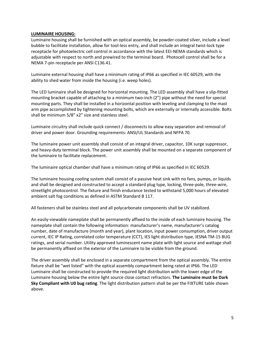#### **LUMINAIRE HOUSING:**

Luminaire housing shall be furnished with an optical assembly, be powder-coated silver, include a level bubble to facilitate installation, allow for tool-less entry, and shall include an integral twist-lock type receptacle for photoelectric cell control in accordance with the latest EEI-NEMA standards which is adjustable with respect to north and prewired to the terminal board. Photocell control shall be for a NEMA 7-pin receptacle per ANSI C136.41.

Luminaire external housing shall have a minimum rating of IP66 as specified in IEC 60529, with the ability to shed water from inside the housing (i.e. weep holes).

The LED luminaire shall be designed for horizontal mounting. The LED assembly shall have a slip-fitted mounting bracket capable of attaching to a minimum two-inch (2") pipe without the need for special mounting parts. They shall be installed in a horizontal position with leveling and clamping to the mast arm pipe accomplished by tightening mounting bolts, which are externally or internally accessible. Bolts shall be minimum 5/8" x2" size and stainless steel.

Luminaire circuitry shall include quick connect / disconnects to allow easy separation and removal of driver and power door. Grounding requirements: ANSI/UL Standards and NFPA 70.

The luminaire power unit assembly shall consist of an integral driver, capacitor, 10K surge suppressor, and heavy-duty terminal block. The power unit assembly shall be mounted on a separate component of the luminaire to facilitate replacement.

The luminaire optical chamber shall have a minimum rating of IP66 as specified in IEC 60529.

The luminaire housing cooling system shall consist of a passive heat sink with no fans, pumps, or liquids and shall be designed and constructed to accept a standard plug type, locking, three-pole, three-wire, streetlight photocontrol. The fixture and finish endurance tested to withstand 5,000 hours of elevated ambient salt fog conditions as defined in ASTM Standard B 117.

All fasteners shall be stainless steel and all polycarbonate components shall be UV stabilized.

An easily-viewable nameplate shall be permanently affixed to the inside of each luminaire housing. The nameplate shall contain the following information: manufacturer's name, manufacturer's catalog number, date of manufacture (month and year), plant location, input power consumption, driver output current, IEC IP Rating, correlated color temperature (CCT), IES light distribution type, IESNA TM-15 BUG ratings, and serial number. Utility approved luminescent name plate with light source and wattage shall be permanently affixed on the exterior of the Luminaire to be visible from the ground.

The driver assembly shall be enclosed in a separate compartment from the optical assembly. The entire fixture shall be "wet listed" with the optical assembly compartment being rated at IP66. The LED Luminaire shall be constructed to provide the required light distribution with the lower edge of the Luminaire housing below the entire light source close contact refractors. **The Luminaire must be Dark Sky Compliant with U0 bug rating**. The light distribution pattern shall be per the FIXTURE table shown above.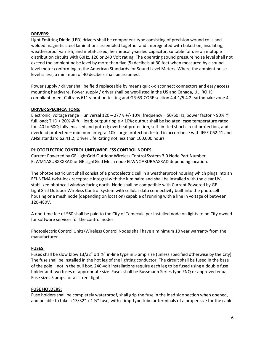#### **DRIVERS:**

Light Emitting Diode (LED) drivers shall be component-type consisting of precision wound coils and welded magnetic steel laminations assembled together and impregnated with baked-on, insulating, weatherproof varnish; and metal-cased, hermetically-sealed capacitor, suitable for use on multiple distribution circuits with 60Hz, 120 or 240 Volt rating. The operating sound pressure noise level shall not exceed the ambient noise level by more than five (5) decibels at 30 feet when measured by a sound level meter conforming to the American Standards for Sound Level Meters. Where the ambient noise level is less, a minimum of 40 decibels shall be assumed.

Power supply / driver shall be field replaceable by means quick-disconnect connectors and easy access mounting hardware. Power supply / driver shall be wet-listed in the US and Canada, UL, ROHS compliant, meet Caltrans 611 vibration testing and GR-63-CORE section 4.4.1/5.4.2 earthquake zone 4.

#### **DRIVER SPECIFICATIONS:**

Electronic; voltage range = universal  $120 - 277$  v  $+/-10$ %; frequency = 50/60 Hz; power factor > 90% @ full load; THD < 20% @ full load; output ripple < 10%; output shall be isolated; case temperature rated for -40 to 60C; fully encased and potted; overheat protection, self-limited short circuit protection, and overload protected – minimum integral 10k surge protection tested in accordance with IEEE C62.41 and ANSI standard 62.41.2; Driver Life Rating not less than 100,000 hours.

#### **PHOTOELECTRIC CONTROL UNIT/WIRELESS CONTROL NODES:**

Current Powered by GE LightGrid Outdoor Wireless Control System 3.0 Node Part Number ELWM1A8UBXXXXAD or GE LightGrid Mesh node ELWNOA8UBAAXXAD depending location.

The photoelectric unit shall consist of a photoelectric cell in a weatherproof housing which plugs into an EEI-NEMA twist-lock receptacle integral with the luminaire and shall be installed with the clear UVstabilized photocell window facing north. Node shall be compatible with Current Powered by GE LightGrid Outdoor Wireless Control System with cellular data connectivity built into the photocell housing or a mesh node (depending on location) capable of running with a line in voltage of between 120-480V.

A one-time fee of \$60 shall be paid to the City of Temecula per installed node on lights to be City owned for software services for the control nodes.

Photoelectric Control Units/Wireless Control Nodes shall have a minimum 10 year warranty from the manufacturer.

#### **FUSES:**

Fuses shall be slow blow  $13/32''$  x  $1\frac{1}{2}$ " in-line type in 5 amp size (unless specified otherwise by the City). The fuse shall be installed in the hot leg of the lighting conductor. The circuit shall be fused in the base of the pole – not in the pull box. 240-volt installations require each leg to be fused using a double fuse holder and two fuses of appropriate size. Fuses shall be Bussmann Series type FNQ or approved equal. Fuse sizes 5 amps for all street lights.

#### **FUSE HOLDERS:**

Fuse holders shall be completely waterproof, shall grip the fuse in the load side section when opened, and be able to take a  $13/32''$  x  $1\frac{1}{2}''$  fuse, with crimp-type tubular terminals of a proper size for the cable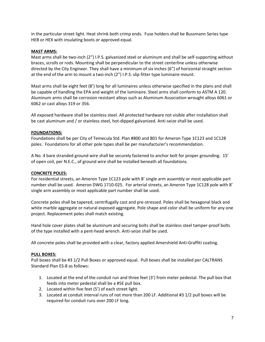in the particular street light. Heat shrink both crimp ends. Fuse holders shall be Bussmann Series type HEB or HEX with insulating boots or approved equal.

#### **MAST ARMS:**

Mast arms shall be two-inch (2") I.P.S. galvanized steel or aluminum and shall be self-supporting without braces, scrolls or rods. Mounting shall be perpendicular to the street centerline unless otherwise directed by the City Engineer. They shall have a minimum of six inches (6") of horizontal straight section at the end of the arm to mount a two-inch (2") I.P.S. slip fitter type luminaire mount.

Mast arms shall be eight feet (8') long for all luminaires unless otherwise specified in the plans and shall be capable of handling the EPA and weight of the luminaire. Steel arms shall conform to ASTM A 120. Aluminum arms shall be corrosion resistant alloys such as Aluminum Association wrought alloys 6061 or 6062 or cast alloys 319 or 356.

All exposed hardware shall be stainless steel. All protected hardware not visible after installation shall be cast aluminum and / or stainless steel, hot-dipped galvanized. Anti-seize shall be used.

#### **FOUNDATIONS:**

Foundations shall be per City of Temecula Std. Plan #800 and 801 for Ameron Type 1C123 and 1C128 poles. Foundations for all other pole types shall be per manufacturer's recommendation.

A No. 4 bare stranded ground wire shall be securely fastened to anchor bolt for proper grounding. 15' of open coil, per N.E.C., of ground wire shall be installed beneath all foundations.

#### **CONCRETE POLES:**

For residential streets, an Ameron Type 1C123 pole with 8' single arm assembly or most applicable part number shall be used. Ameron DWG 1710-025. For arterial streets, an Ameron Type 1C128 pole with 8' single arm assembly or most applicable part number shall be used.

Concrete poles shall be tapered, centrifugally cast and pre-stressed. Poles shall be hexagonal black and white marble aggregate or natural exposed aggregate. Pole shape and color shall be uniform for any one project. Replacement poles shall match existing.

Hand hole cover plates shall be aluminum and securing bolts shall be stainless steel tamper-proof bolts of the type installed with a pent-head wrench. Anti-seize shall be used.

All concrete poles shall be provided with a clear, factory applied Amershield Anti-Graffiti coating.

#### **PULL BOXES:**

Pull boxes shall be #3 1/2 Pull Boxes or approved equal. Pull boxes shall be installed per CALTRANS Standard Plan ES-8 as follows:

- 1. Located at the end of the conduit run and three feet (3') from meter pedestal. The pull box that feeds into meter pedestal shall be a #5E pull box.
- 2. Located within five feet (5') of each street light.
- 3. Located at conduit interval runs of not more than 200 LF. Additional #3 1/2 pull boxes will be required for conduit runs over 200 LF long.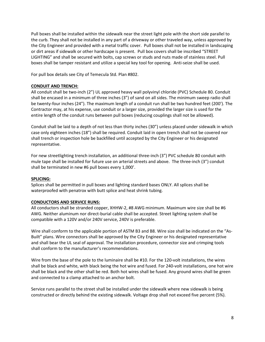Pull boxes shall be installed within the sidewalk near the street light pole with the short side parallel to the curb. They shall not be installed in any part of a driveway or other traveled way, unless approved by the City Engineer and provided with a metal traffic cover. Pull boxes shall not be installed in landscaping or dirt areas if sidewalk or other hardscape is present. Pull box covers shall be inscribed "STREET LIGHTING" and shall be secured with bolts, cap screws or studs and nuts made of stainless steel. Pull boxes shall be tamper resistant and utilize a special key tool for opening. Anti-seize shall be used.

For pull box details see City of Temecula Std. Plan #802.

#### **CONDUIT AND TRENCH:**

All conduit shall be two-inch (2") UL approved heavy wall polyvinyl chloride (PVC) Schedule 80. Conduit shall be encased in a minimum of three inches (3") of sand on all sides. The minimum sweep radio shall be twenty-four inches (24"). The maximum length of a conduit run shall be two hundred feet (200'). The Contractor may, at his expense, use conduit or a larger size, provided the larger size is used for the entire length of the conduit runs between pull boxes (reducing couplings shall not be allowed).

Conduit shall be laid to a depth of not less than thirty inches (30") unless placed under sidewalk in which case only eighteen inches (18") shall be required. Conduit laid in open trench shall not be covered nor shall trench or inspection hole be backfilled until accepted by the City Engineer or his designated representative.

For new streetlighting trench installation, an additional three-inch (3") PVC schedule 80 conduit with mule tape shall be installed for future use on arterial streets and above. The three-inch (3") conduit shall be terminated in new #6 pull boxes every 1,000'.

#### **SPLICING:**

Splices shall be permitted in pull boxes and lighting standard bases ONLY. All splices shall be waterproofed with penatrox with butt splice and heat shrink tubing.

#### **CONDUCTORS AND SERVICE RUNS:**

All conductors shall be stranded copper, XHHW-2, #8 AWG minimum. Maximum wire size shall be #6 AWG. Neither aluminum nor direct-burial cable shall be accepted. Street lighting system shall be compatible with a 120V and/or 240V service, 240V is preferable.

Wire shall conform to the applicable portion of ASTM B3 and B8. Wire size shall be indicated on the "As-Built" plans. Wire connectors shall be approved by the City Engineer or his designated representative and shall bear the UL seal of approval. The installation procedure, connector size and crimping tools shall conform to the manufacturer's recommendations.

Wire from the base of the pole to the luminaire shall be #10. For the 120-volt installations, the wires shall be black and white, with black being the hot wire and fused. For 240-volt installations, one hot wire shall be black and the other shall be red. Both hot wires shall be fused. Any ground wires shall be green and connected to a clamp attached to an anchor bolt.

Service runs parallel to the street shall be installed under the sidewalk where new sidewalk is being constructed or directly behind the existing sidewalk. Voltage drop shall not exceed five percent (5%).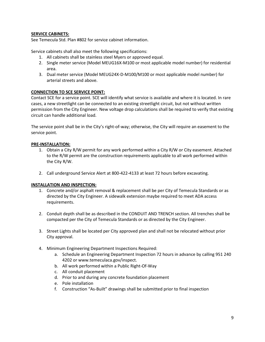#### **SERVICE CABINETS:**

See Temecula Std. Plan #802 for service cabinet information.

Service cabinets shall also meet the following specifications:

- 1. All cabinets shall be stainless steel Myers or approved equal.
- 2. Single meter service (Model MEUG16X-M100 or most applicable model number) for residential area.
- 3. Dual meter service (Model MEUG24X-D-M100/M100 or most applicable model number) for arterial streets and above.

#### **CONNECTION TO SCE SERVICE POINT:**

Contact SCE for a service point. SCE will identify what service is available and where it is located. In rare cases, a new streetlight can be connected to an existing streetlight circuit, but not without written permission from the City Engineer. New voltage drop calculations shall be required to verify that existing circuit can handle additional load.

The service point shall be in the City's right-of-way; otherwise, the City will require an easement to the service point.

#### **PRE-INSTALLATION:**

- 1. Obtain a City R/W permit for any work performed within a City R/W or City easement. Attached to the R/W permit are the construction requirements applicable to all work performed within the City R/W.
- 2. Call underground Service Alert at 800-422-4133 at least 72 hours before excavating.

#### **INSTALLATION AND INSPECTION:**

- 1. Concrete and/or asphalt removal & replacement shall be per City of Temecula Standards or as directed by the City Engineer. A sidewalk extension maybe required to meet ADA access requirements.
- 2. Conduit depth shall be as described in the CONDUIT AND TRENCH section. All trenches shall be compacted per the City of Temecula Standards or as directed by the City Engineer.
- 3. Street Lights shall be located per City approved plan and shall not be relocated without prior City approval.
- 4. Minimum Engineering Department Inspections Required:
	- a. Schedule an Engineering Department Inspection 72 hours in advance by calling 951 240 4202 or www.temeculaca.gov/inspect.
	- b. All work performed within a Public Right-Of-Way
	- c. All conduit placement
	- d. Prior to and during any concrete foundation placement
	- e. Pole installation
	- f. Construction "As-Built" drawings shall be submitted prior to final inspection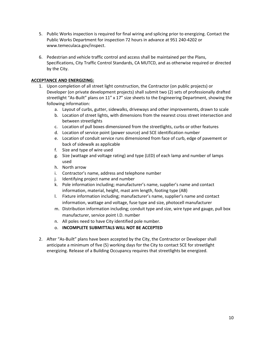- 5. Public Works inspection is required for final wiring and splicing prior to energizing. Contact the Public Works Department for inspection 72 hours in advance at 951 240-4202 or www.temeculaca.gov/inspect.
- 6. Pedestrian and vehicle traffic control and access shall be maintained per the Plans, Specifications, City Traffic Control Standards, CA MUTCD, and as otherwise required or directed by the City.

#### **ACCEPTANCE AND ENERGIZING:**

- 1. Upon completion of all street light construction, the Contractor (on public projects) or Developer (on private development projects) shall submit two (2) sets of professionally drafted streetlight "As-Built" plans on 11" x 17" size sheets to the Engineering Department, showing the following information:
	- a. Layout of curbs, gutter, sidewalks, driveways and other improvements, drawn to scale
	- b. Location of street lights, with dimensions from the nearest cross street intersection and between streetlights
	- c. Location of pull boxes dimensioned from the streetlights, curbs or other features
	- d. Location of service point (power source) and SCE identification number
	- e. Location of conduit service runs dimensioned from face of curb, edge of pavement or back of sidewalk as applicable
	- f. Size and type of wire used
	- g. Size (wattage and voltage rating) and type (LED) of each lamp and number of lamps used
	- h. North arrow
	- i. Contractor's name, address and telephone number
	- j. Identifying project name and number
	- k. Pole information including; manufacturer's name, supplier's name and contact information, material, height, mast arm length, footing type (AB)
	- l. Fixture information including; manufacturer's name, supplier's name and contact information, wattage and voltage, fuse type and size, photocell manufacturer
	- m. Distribution information including; conduit type and size, wire type and gauge, pull box manufacturer, service point I.D. number
	- n. All poles need to have City identified pole number.
	- o. **INCOMPLETE SUBMITTALS WILL NOT BE ACCEPTED**
- 2. After "As-Built" plans have been accepted by the City, the Contractor or Developer shall anticipate a minimum of five (5) working days for the City to contact SCE for streetlight energizing. Release of a Building Occupancy requires that streetlights be energized.